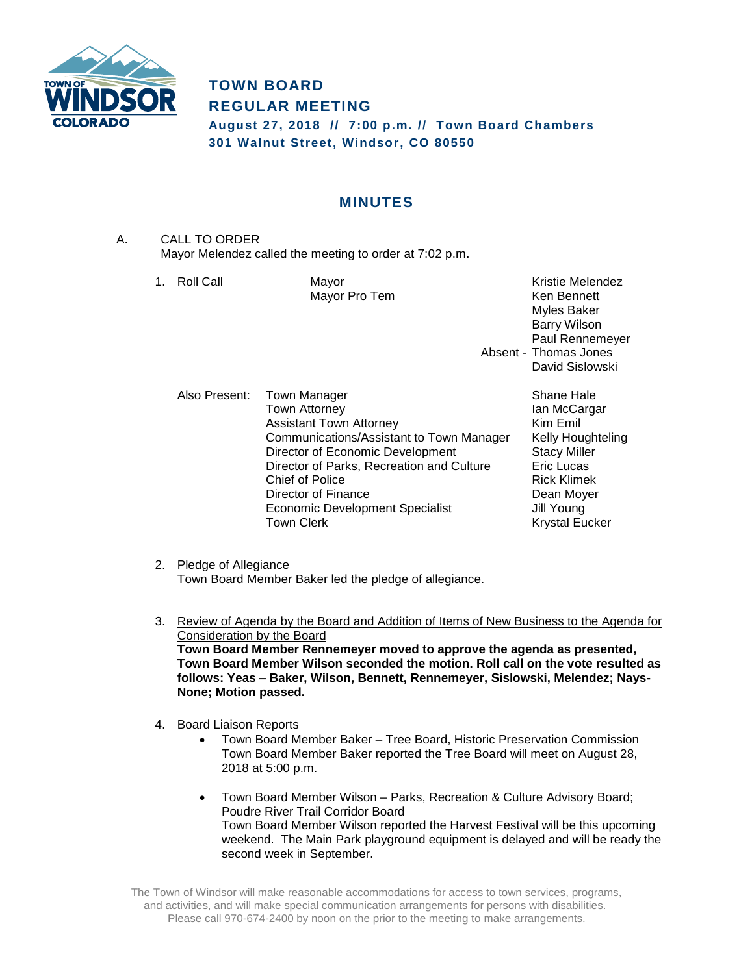

# **TOWN BOARD REGULAR MEETING August 27, 2018 // 7:00 p.m. // Town Board Chambers 301 Walnut Street, Windsor, CO 80550**

## **MINUTES**

A. CALL TO ORDER Mayor Melendez called the meeting to order at 7:02 p.m.

| 1. | Roll Call     | Mayor<br>Mayor Pro Tem                                                                                                                                                                                                                                                           | Kristie Melendez<br>Ken Bennett<br><b>Myles Baker</b><br><b>Barry Wilson</b><br>Paul Rennemeyer<br>Absent - Thomas Jones<br>David Sislowski        |
|----|---------------|----------------------------------------------------------------------------------------------------------------------------------------------------------------------------------------------------------------------------------------------------------------------------------|----------------------------------------------------------------------------------------------------------------------------------------------------|
|    | Also Present: | Town Manager<br>Town Attorney<br><b>Assistant Town Attorney</b><br>Communications/Assistant to Town Manager<br>Director of Economic Development<br>Director of Parks, Recreation and Culture<br><b>Chief of Police</b><br>Director of Finance<br>Economic Development Specialist | Shane Hale<br>lan McCargar<br>Kim Emil<br>Kelly Houghteling<br><b>Stacy Miller</b><br>Eric Lucas<br><b>Rick Klimek</b><br>Dean Moyer<br>Jill Young |

- 2. Pledge of Allegiance Town Board Member Baker led the pledge of allegiance.
- 3. Review of Agenda by the Board and Addition of Items of New Business to the Agenda for Consideration by the Board **Town Board Member Rennemeyer moved to approve the agenda as presented, Town Board Member Wilson seconded the motion. Roll call on the vote resulted as follows: Yeas – Baker, Wilson, Bennett, Rennemeyer, Sislowski, Melendez; Nays-None; Motion passed.**

Town Clerk **Krystal Eucker** 

- 4. Board Liaison Reports
	- Town Board Member Baker Tree Board, Historic Preservation Commission Town Board Member Baker reported the Tree Board will meet on August 28, 2018 at 5:00 p.m.
	- Town Board Member Wilson Parks, Recreation & Culture Advisory Board; Poudre River Trail Corridor Board Town Board Member Wilson reported the Harvest Festival will be this upcoming weekend. The Main Park playground equipment is delayed and will be ready the second week in September.

The Town of Windsor will make reasonable accommodations for access to town services, programs, and activities, and will make special communication arrangements for persons with disabilities. Please call 970-674-2400 by noon on the prior to the meeting to make arrangements.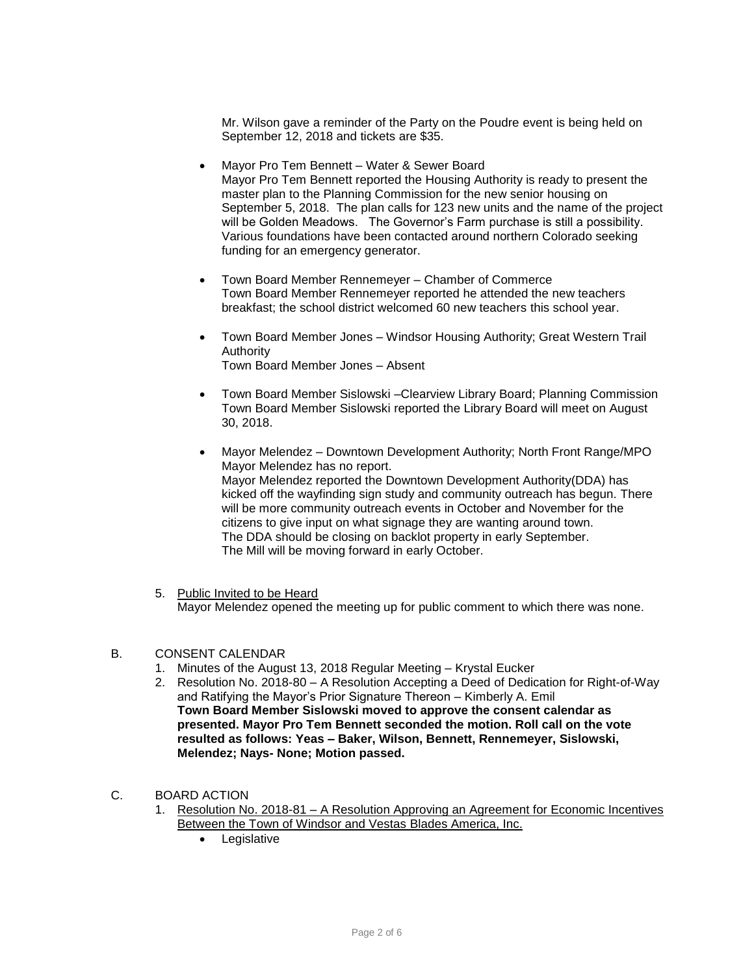Mr. Wilson gave a reminder of the Party on the Poudre event is being held on September 12, 2018 and tickets are \$35.

- Mayor Pro Tem Bennett Water & Sewer Board Mayor Pro Tem Bennett reported the Housing Authority is ready to present the master plan to the Planning Commission for the new senior housing on September 5, 2018. The plan calls for 123 new units and the name of the project will be Golden Meadows. The Governor's Farm purchase is still a possibility. Various foundations have been contacted around northern Colorado seeking funding for an emergency generator.
- Town Board Member Rennemeyer Chamber of Commerce Town Board Member Rennemeyer reported he attended the new teachers breakfast; the school district welcomed 60 new teachers this school year.
- Town Board Member Jones Windsor Housing Authority; Great Western Trail Authority Town Board Member Jones – Absent
- Town Board Member Sislowski –Clearview Library Board; Planning Commission Town Board Member Sislowski reported the Library Board will meet on August 30, 2018.
- Mayor Melendez Downtown Development Authority; North Front Range/MPO Mayor Melendez has no report. Mayor Melendez reported the Downtown Development Authority(DDA) has kicked off the wayfinding sign study and community outreach has begun. There will be more community outreach events in October and November for the citizens to give input on what signage they are wanting around town. The DDA should be closing on backlot property in early September. The Mill will be moving forward in early October.
- 5. Public Invited to be Heard Mayor Melendez opened the meeting up for public comment to which there was none.
- B. CONSENT CALENDAR
	- 1. Minutes of the August 13, 2018 Regular Meeting Krystal Eucker
	- 2. Resolution No. 2018-80 A Resolution Accepting a Deed of Dedication for Right-of-Way and Ratifying the Mayor's Prior Signature Thereon – Kimberly A. Emil **Town Board Member Sislowski moved to approve the consent calendar as presented. Mayor Pro Tem Bennett seconded the motion. Roll call on the vote resulted as follows: Yeas – Baker, Wilson, Bennett, Rennemeyer, Sislowski, Melendez; Nays- None; Motion passed.**
- C. BOARD ACTION
	- 1. Resolution No. 2018-81 A Resolution Approving an Agreement for Economic Incentives Between the Town of Windsor and Vestas Blades America, Inc.
		- Legislative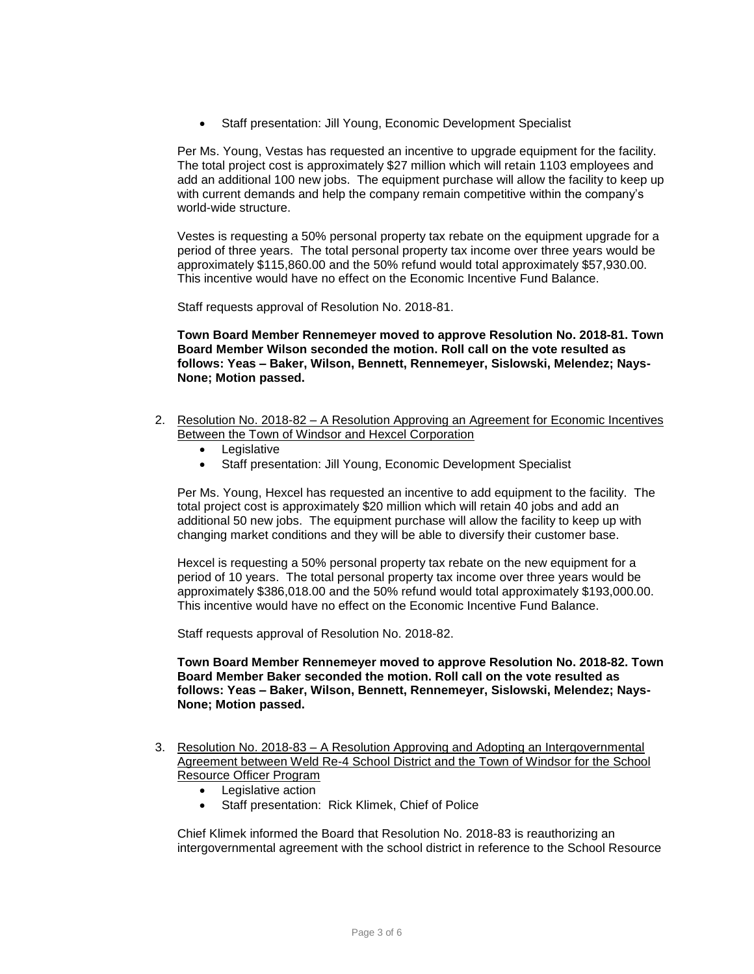Staff presentation: Jill Young, Economic Development Specialist

Per Ms. Young, Vestas has requested an incentive to upgrade equipment for the facility. The total project cost is approximately \$27 million which will retain 1103 employees and add an additional 100 new jobs. The equipment purchase will allow the facility to keep up with current demands and help the company remain competitive within the company's world-wide structure.

Vestes is requesting a 50% personal property tax rebate on the equipment upgrade for a period of three years. The total personal property tax income over three years would be approximately \$115,860.00 and the 50% refund would total approximately \$57,930.00. This incentive would have no effect on the Economic Incentive Fund Balance.

Staff requests approval of Resolution No. 2018-81.

**Town Board Member Rennemeyer moved to approve Resolution No. 2018-81. Town Board Member Wilson seconded the motion. Roll call on the vote resulted as follows: Yeas – Baker, Wilson, Bennett, Rennemeyer, Sislowski, Melendez; Nays-None; Motion passed.**

- 2. Resolution No. 2018-82 A Resolution Approving an Agreement for Economic Incentives Between the Town of Windsor and Hexcel Corporation
	- Legislative
	- Staff presentation: Jill Young, Economic Development Specialist

Per Ms. Young, Hexcel has requested an incentive to add equipment to the facility. The total project cost is approximately \$20 million which will retain 40 jobs and add an additional 50 new jobs. The equipment purchase will allow the facility to keep up with changing market conditions and they will be able to diversify their customer base.

Hexcel is requesting a 50% personal property tax rebate on the new equipment for a period of 10 years. The total personal property tax income over three years would be approximately \$386,018.00 and the 50% refund would total approximately \$193,000.00. This incentive would have no effect on the Economic Incentive Fund Balance.

Staff requests approval of Resolution No. 2018-82.

**Town Board Member Rennemeyer moved to approve Resolution No. 2018-82. Town Board Member Baker seconded the motion. Roll call on the vote resulted as follows: Yeas – Baker, Wilson, Bennett, Rennemeyer, Sislowski, Melendez; Nays-None; Motion passed.**

- 3. Resolution No. 2018-83 A Resolution Approving and Adopting an Intergovernmental Agreement between Weld Re-4 School District and the Town of Windsor for the School Resource Officer Program
	- Legislative action
	- Staff presentation: Rick Klimek, Chief of Police

Chief Klimek informed the Board that Resolution No. 2018-83 is reauthorizing an intergovernmental agreement with the school district in reference to the School Resource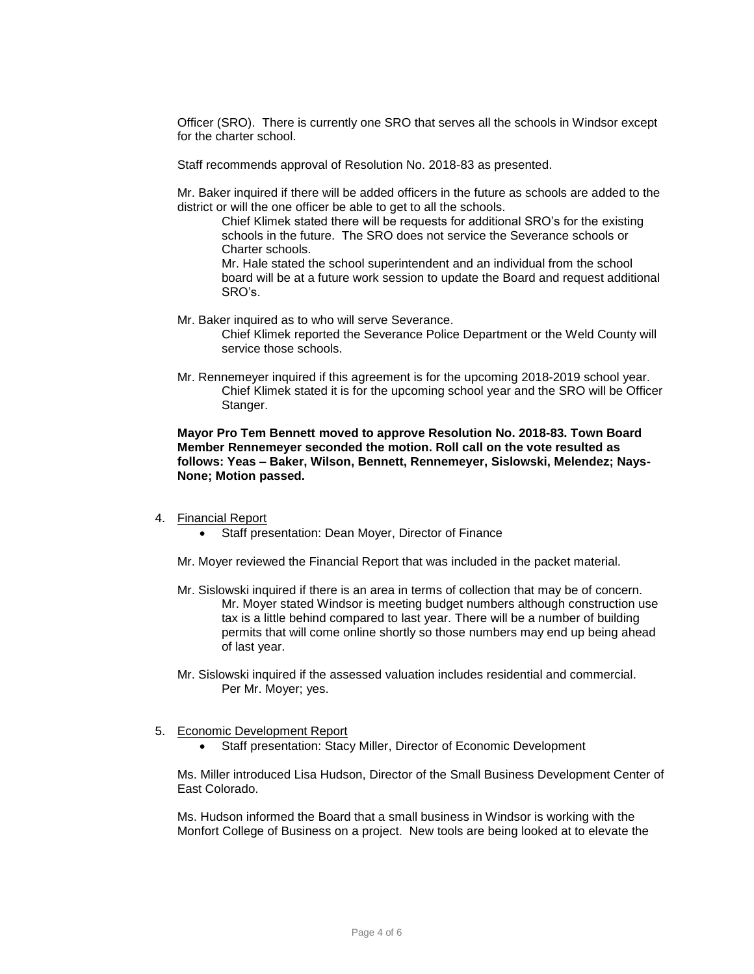Officer (SRO). There is currently one SRO that serves all the schools in Windsor except for the charter school.

Staff recommends approval of Resolution No. 2018-83 as presented.

Mr. Baker inquired if there will be added officers in the future as schools are added to the district or will the one officer be able to get to all the schools.

Chief Klimek stated there will be requests for additional SRO's for the existing schools in the future. The SRO does not service the Severance schools or Charter schools.

Mr. Hale stated the school superintendent and an individual from the school board will be at a future work session to update the Board and request additional SRO's.

- Mr. Baker inquired as to who will serve Severance. Chief Klimek reported the Severance Police Department or the Weld County will service those schools.
- Mr. Rennemeyer inquired if this agreement is for the upcoming 2018-2019 school year. Chief Klimek stated it is for the upcoming school year and the SRO will be Officer Stanger.

**Mayor Pro Tem Bennett moved to approve Resolution No. 2018-83. Town Board Member Rennemeyer seconded the motion. Roll call on the vote resulted as follows: Yeas – Baker, Wilson, Bennett, Rennemeyer, Sislowski, Melendez; Nays-None; Motion passed.**

#### 4. Financial Report

Staff presentation: Dean Moyer, Director of Finance

Mr. Moyer reviewed the Financial Report that was included in the packet material.

- Mr. Sislowski inquired if there is an area in terms of collection that may be of concern. Mr. Moyer stated Windsor is meeting budget numbers although construction use tax is a little behind compared to last year. There will be a number of building permits that will come online shortly so those numbers may end up being ahead of last year.
- Mr. Sislowski inquired if the assessed valuation includes residential and commercial. Per Mr. Moyer; yes.
- 5. Economic Development Report
	- Staff presentation: Stacy Miller, Director of Economic Development

Ms. Miller introduced Lisa Hudson, Director of the Small Business Development Center of East Colorado.

Ms. Hudson informed the Board that a small business in Windsor is working with the Monfort College of Business on a project. New tools are being looked at to elevate the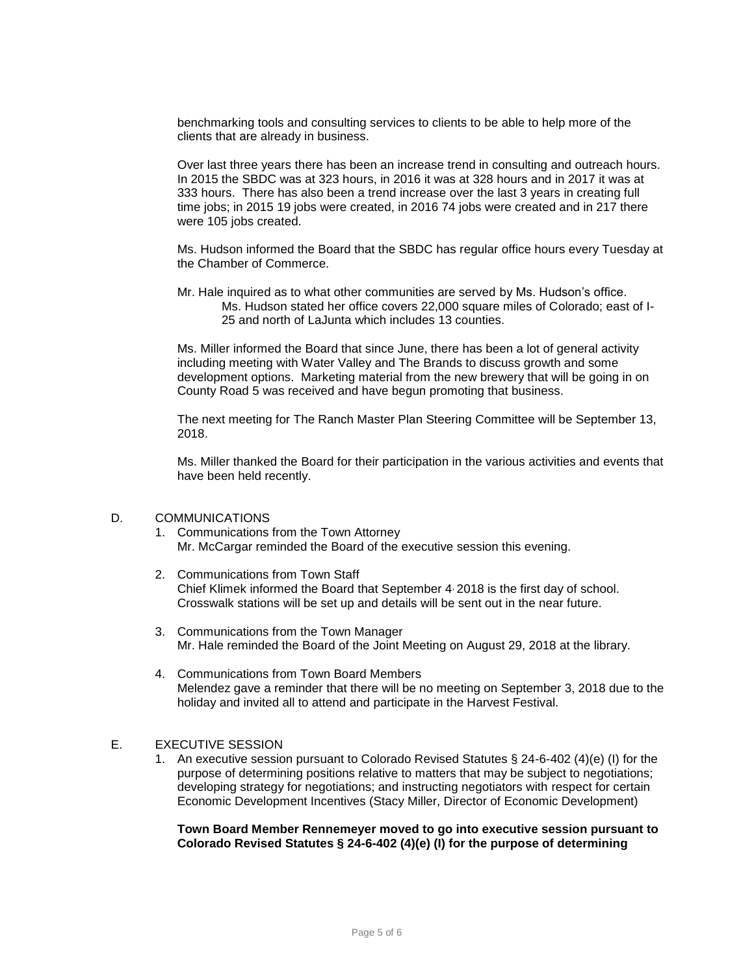benchmarking tools and consulting services to clients to be able to help more of the clients that are already in business.

Over last three years there has been an increase trend in consulting and outreach hours. In 2015 the SBDC was at 323 hours, in 2016 it was at 328 hours and in 2017 it was at 333 hours. There has also been a trend increase over the last 3 years in creating full time jobs; in 2015 19 jobs were created, in 2016 74 jobs were created and in 217 there were 105 jobs created.

Ms. Hudson informed the Board that the SBDC has regular office hours every Tuesday at the Chamber of Commerce.

Mr. Hale inquired as to what other communities are served by Ms. Hudson's office. Ms. Hudson stated her office covers 22,000 square miles of Colorado; east of I-25 and north of LaJunta which includes 13 counties.

Ms. Miller informed the Board that since June, there has been a lot of general activity including meeting with Water Valley and The Brands to discuss growth and some development options. Marketing material from the new brewery that will be going in on County Road 5 was received and have begun promoting that business.

The next meeting for The Ranch Master Plan Steering Committee will be September 13, 2018.

Ms. Miller thanked the Board for their participation in the various activities and events that have been held recently.

#### D. COMMUNICATIONS

- 1. Communications from the Town Attorney Mr. McCargar reminded the Board of the executive session this evening.
- 2. Communications from Town Staff Chief Klimek informed the Board that September 4, 2018 is the first day of school. Crosswalk stations will be set up and details will be sent out in the near future.
- 3. Communications from the Town Manager Mr. Hale reminded the Board of the Joint Meeting on August 29, 2018 at the library.
- 4. Communications from Town Board Members Melendez gave a reminder that there will be no meeting on September 3, 2018 due to the holiday and invited all to attend and participate in the Harvest Festival.

## E. EXECUTIVE SESSION

1. An executive session pursuant to Colorado Revised Statutes § 24-6-402 (4)(e) (I) for the purpose of determining positions relative to matters that may be subject to negotiations; developing strategy for negotiations; and instructing negotiators with respect for certain Economic Development Incentives (Stacy Miller, Director of Economic Development)

## **Town Board Member Rennemeyer moved to go into executive session pursuant to Colorado Revised Statutes § 24-6-402 (4)(e) (I) for the purpose of determining**